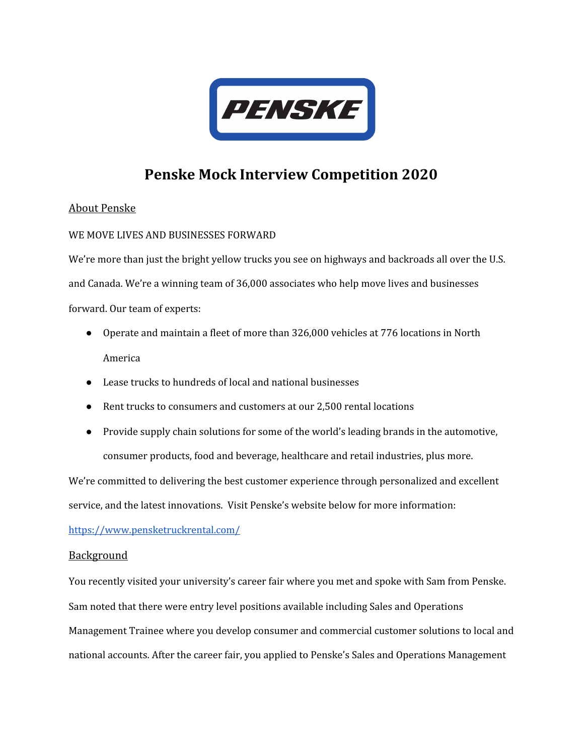

# **Penske Mock Interview Competition 2020**

## About Penske

### WE MOVE LIVES AND BUSINESSES FORWARD

We're more than just the bright yellow trucks you see on highways and backroads all over the U.S. and Canada. We're a winning team of 36,000 associates who help move lives and businesses forward. Our team of experts:

- Operate and maintain a fleet of more than 326,000 vehicles at 776 locations in North America
- Lease trucks to hundreds of local and national businesses
- Rent trucks to consumers and customers at our 2,500 rental locations
- Provide supply chain solutions for some of the world's leading brands in the automotive, consumer products, food and beverage, healthcare and retail industries, plus more.

We're committed to delivering the best customer experience through personalized and excellent

service, and the latest innovations. Visit Penske's website below for more information:

<https://www.pensketruckrental.com/>

### **Background**

You recently visited your university's career fair where you met and spoke with Sam from Penske. Sam noted that there were entry level positions available including Sales and Operations Management Trainee where you develop consumer and commercial customer solutions to local and national accounts. After the career fair, you applied to Penske's Sales and Operations Management